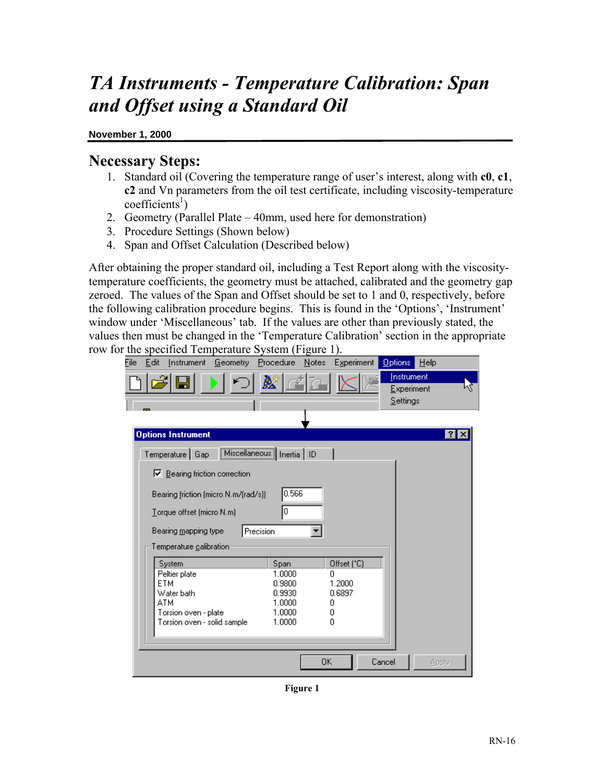# *TA Instruments - Temperature Calibration: Span and Offset using a Standard Oil*

#### **November 1, 2000**

#### **Necessary Steps:**

- 1. Standard oil (Covering the temperature range of user's interest, along with **c0**, **c1**, **c2** and Vn parameters from the oil test certificate, including viscosity-temperature  $\text{coefficients}^1$
- 2. Geometry (Parallel Plate 40mm, used here for demonstration)
- 3. Procedure Settings (Shown below)
- 4. Span and Offset Calculation (Described below)

After obtaining the proper standard oil, including a Test Report along with the viscositytemperature coefficients, the geometry must be attached, calibrated and the geometry gap zeroed. The values of the Span and Offset should be set to 1 and 0, respectively, before the following calibration procedure begins. This is found in the 'Options', 'Instrument' window under 'Miscellaneous' tab. If the values are other than previously stated, the values then must be changed in the 'Temperature Calibration' section in the appropriate row for the specified Temperature System (Figure 1).

| $\mu$ and $\mu$ is component to $\mu$ and $\mu$ is $\mu$ . |              |       |             |            |         |              |
|------------------------------------------------------------|--------------|-------|-------------|------------|---------|--------------|
| Eile:<br>Edit<br>Instrument Geometry Procedure             |              | Notes | Experiment  | Options    | $He$ lp |              |
|                                                            |              |       |             | Instrument |         |              |
|                                                            |              |       |             | Experiment |         |              |
|                                                            |              |       |             | Settings   |         |              |
|                                                            |              |       |             |            |         |              |
|                                                            |              |       |             |            |         |              |
| <b>Options Instrument</b>                                  |              |       |             |            |         | $?$ $\times$ |
| Miscellaneous                                              |              |       |             |            |         |              |
| Temperature   Gap                                          | Inertia   ID |       |             |            |         |              |
| $\nabla$ Bearing friction correction                       |              |       |             |            |         |              |
|                                                            |              |       |             |            |         |              |
| Bearing friction (micro N.m/(rad/s))                       | 0.566        |       |             |            |         |              |
| Torque offset (micro N.m)                                  | O            |       |             |            |         |              |
|                                                            |              |       |             |            |         |              |
| Bearing mapping type<br>Precision                          |              |       |             |            |         |              |
| Temperature calibration                                    |              |       |             |            |         |              |
|                                                            |              |       |             |            |         |              |
| System                                                     | Span         |       | Offset (°C) |            |         |              |
| Peltier plate                                              | 1.0000       |       | Ω           |            |         |              |
| ETM                                                        | 0.9800       |       | 1.2000      |            |         |              |
| Water bath                                                 | 0.9930       |       | 0.6897      |            |         |              |
| ATM                                                        | 1.0000       | Ω     |             |            |         |              |
| Torsion oven - plate                                       | 1.0000       | Ω     |             |            |         |              |
| Torsion oven - solid sample                                | 1.0000       |       | Ū           |            |         |              |
|                                                            |              |       |             |            |         |              |
|                                                            |              |       |             |            |         |              |
|                                                            |              | OΚ    |             | Cancel     | Apply   |              |
|                                                            |              |       |             |            |         |              |

**Figure 1**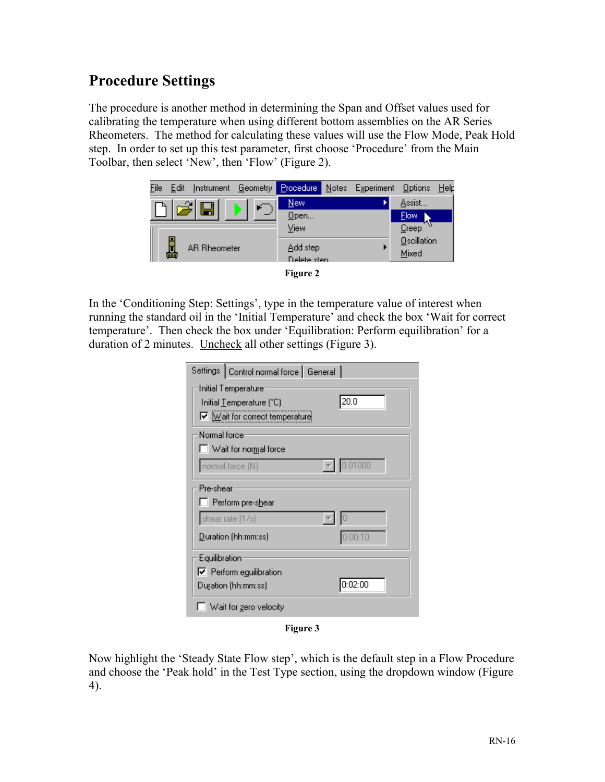## **Procedure Settings**

The procedure is another method in determining the Span and Offset values used for calibrating the temperature when using different bottom assemblies on the AR Series Rheometers. The method for calculating these values will use the Flow Mode, Peak Hold step. In order to set up this test parameter, first choose 'Procedure' from the Main Toolbar, then select 'New', then 'Flow' (Figure 2).



In the 'Conditioning Step: Settings', type in the temperature value of interest when running the standard oil in the 'Initial Temperature' and check the box 'Wait for correct temperature'. Then check the box under 'Equilibration: Perform equilibration' for a duration of 2 minutes. Uncheck all other settings (Figure 3).

| Settings   Control normal force   General |  |  |  |  |
|-------------------------------------------|--|--|--|--|
| Initial Temperature                       |  |  |  |  |
| 20.0<br>Initial Temperature (°C)          |  |  |  |  |
| $\nabla$ Mait for correct temperature     |  |  |  |  |
| Normal force                              |  |  |  |  |
| Wait for normal force                     |  |  |  |  |
| 01000<br>normal force (N)                 |  |  |  |  |
| Pre-shear                                 |  |  |  |  |
| Perform pre-shear                         |  |  |  |  |
| shear rate (1/s)                          |  |  |  |  |
| Duration (hh:mm:ss)<br>0:00:10            |  |  |  |  |
| Equilibration                             |  |  |  |  |
| $\nabla$ Perform equilibration            |  |  |  |  |
| 0:02:00<br>Duration (hh:mm:ss)            |  |  |  |  |
| Wait for zero velocity                    |  |  |  |  |

**Figure 3**

Now highlight the 'Steady State Flow step', which is the default step in a Flow Procedure and choose the 'Peak hold' in the Test Type section, using the dropdown window (Figure 4).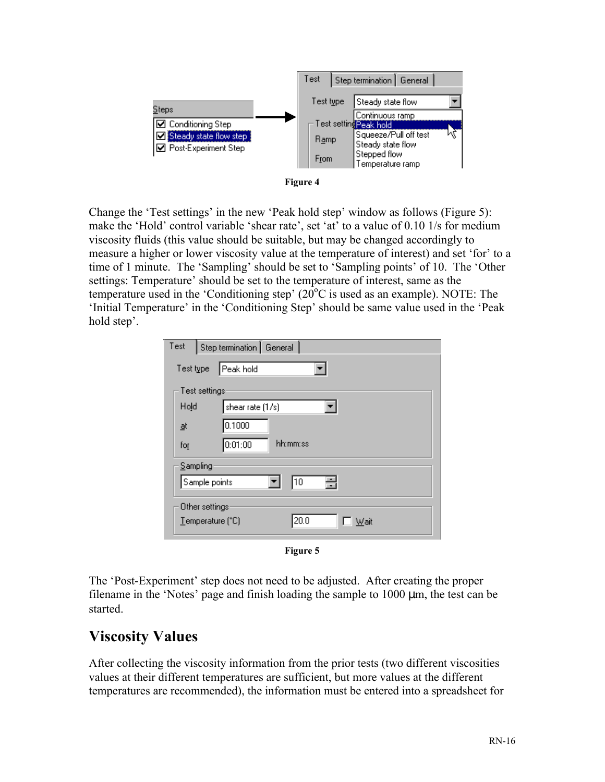



Change the 'Test settings' in the new 'Peak hold step' window as follows (Figure 5): make the 'Hold' control variable 'shear rate', set 'at' to a value of 0.10 1/s for medium viscosity fluids (this value should be suitable, but may be changed accordingly to measure a higher or lower viscosity value at the temperature of interest) and set 'for' to a time of 1 minute. The 'Sampling' should be set to 'Sampling points' of 10. The 'Other settings: Temperature' should be set to the temperature of interest, same as the temperature used in the 'Conditioning step'  $(20^{\circ}$ C is used as an example). NOTE: The 'Initial Temperature' in the 'Conditioning Step' should be same value used in the 'Peak hold step'.

| Test      | Step termination   General                                |
|-----------|-----------------------------------------------------------|
| Test type | Peak hold                                                 |
|           | Test settings                                             |
| Hold      | shear rate (1/s)                                          |
| ₫t        | 0.1000                                                    |
| for       | hh:mm:ss<br>0:01:00                                       |
|           | Sampling                                                  |
|           | 吾<br>10<br>Sample points                                  |
|           | Other settings<br>20.0<br>Temperature (°C)<br><u>Wait</u> |

**Figure 5**

The 'Post-Experiment' step does not need to be adjusted. After creating the proper filename in the 'Notes' page and finish loading the sample to  $1000 \mu m$ , the test can be started.

## **Viscosity Values**

After collecting the viscosity information from the prior tests (two different viscosities values at their different temperatures are sufficient, but more values at the different temperatures are recommended), the information must be entered into a spreadsheet for